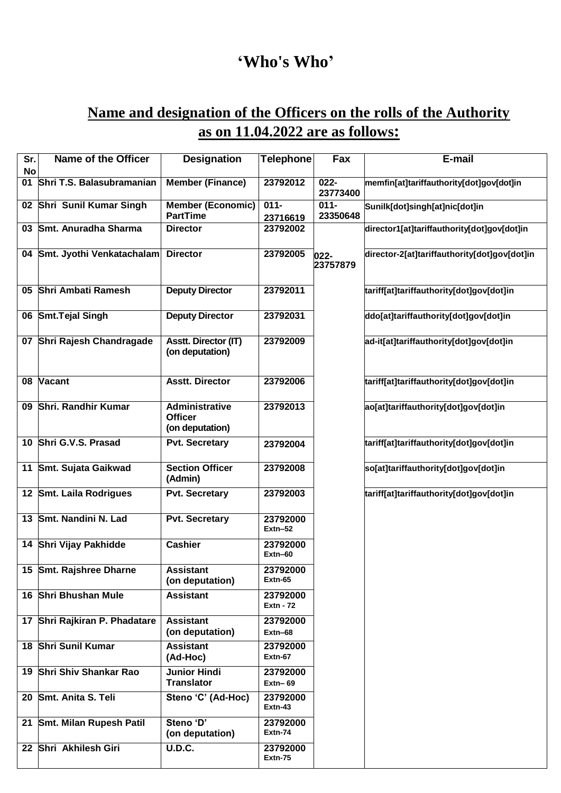## **'Who's Who'**

## **Name and designation of the Officers on the rolls of the Authority as on 11.04.2022 are as follows:**

| Sr.<br>No | <b>Name of the Officer</b>     | <b>Designation</b>                                  | <b>Telephone</b>             | Fax                 | E-mail                                       |
|-----------|--------------------------------|-----------------------------------------------------|------------------------------|---------------------|----------------------------------------------|
| 01        | Shri T.S. Balasubramanian      | <b>Member (Finance)</b>                             | 23792012                     | $022 -$<br>23773400 | memfin[at]tariffauthority[dot]gov[dot]in     |
|           | 02 Shri Sunil Kumar Singh      | <b>Member (Economic)</b><br><b>PartTime</b>         | $011 -$<br>23716619          | $011 -$<br>23350648 | Sunilk[dot]singh[at]nic[dot]in               |
| 03        | <b>Smt. Anuradha Sharma</b>    | <b>Director</b>                                     | 23792002                     |                     | director1[at]tariffauthority[dot]gov[dot]in  |
| 04        | Smt. Jyothi Venkatachalam      | <b>Director</b>                                     | 23792005                     | 022-<br>23757879    | director-2[at]tariffauthority[dot]gov[dot]in |
| 05        | <b>Shri Ambati Ramesh</b>      | <b>Deputy Director</b>                              | 23792011                     |                     | tariff[at]tariffauthority[dot]gov[dot]in     |
| 06        | <b>Smt.Tejal Singh</b>         | <b>Deputy Director</b>                              | 23792031                     |                     | ddo[at]tariffauthority[dot]gov[dot]in        |
|           | 07 Shri Rajesh Chandragade     | <b>Asstt. Director (IT)</b><br>(on deputation)      | 23792009                     |                     | ad-it[at]tariffauthority[dot]gov[dot]in      |
|           | 08 Vacant                      | <b>Asstt. Director</b>                              | 23792006                     |                     | tariff[at]tariffauthority[dot]gov[dot]in     |
| 09        | <b>Shri. Randhir Kumar</b>     | Administrative<br><b>Officer</b><br>(on deputation) | 23792013                     |                     | ao[at]tariffauthority[dot]gov[dot]in         |
|           | 10 Shri G.V.S. Prasad          | <b>Pvt. Secretary</b>                               | 23792004                     |                     | tariff[at]tariffauthority[dot]gov[dot]in     |
| 11        | Smt. Sujata Gaikwad            | <b>Section Officer</b><br>(Admin)                   | 23792008                     |                     | so[at]tariffauthority[dot]gov[dot]in         |
|           | 12 Smt. Laila Rodrigues        | <b>Pvt. Secretary</b>                               | 23792003                     |                     | tariff[at]tariffauthority[dot]gov[dot]in     |
| 13        | <b>Smt. Nandini N. Lad</b>     | <b>Pvt. Secretary</b>                               | 23792000<br>$Extn-52$        |                     |                                              |
|           | 14 Shri Vijay Pakhidde         | <b>Cashier</b>                                      | 23792000<br>Extn-60          |                     |                                              |
|           | 15 Smt. Rajshree Dharne        | Assistant<br>(on deputation)                        | 23792000<br>Extn-65          |                     |                                              |
|           | 16 Shri Bhushan Mule           | <b>Assistant</b>                                    | 23792000<br><b>Extn - 72</b> |                     |                                              |
|           | 17 Shri Rajkiran P. Phadatare  | <b>Assistant</b><br>(on deputation)                 | 23792000<br>Extn-68          |                     |                                              |
|           | 18 Shri Sunil Kumar            | <b>Assistant</b><br>(Ad-Hoc)                        | 23792000<br>Extn-67          |                     |                                              |
|           | 19 Shri Shiv Shankar Rao       | <b>Junior Hindi</b><br><b>Translator</b>            | 23792000<br>$Extn-69$        |                     |                                              |
|           | 20 Smt. Anita S. Teli          | Steno 'C' (Ad-Hoc)                                  | 23792000<br>Extn-43          |                     |                                              |
| 21        | <b>Smt. Milan Rupesh Patil</b> | Steno 'D'<br>(on deputation)                        | 23792000<br>Extn-74          |                     |                                              |
| 22        | Shri Akhilesh Giri             | <b>U.D.C.</b>                                       | 23792000<br>Extn-75          |                     |                                              |